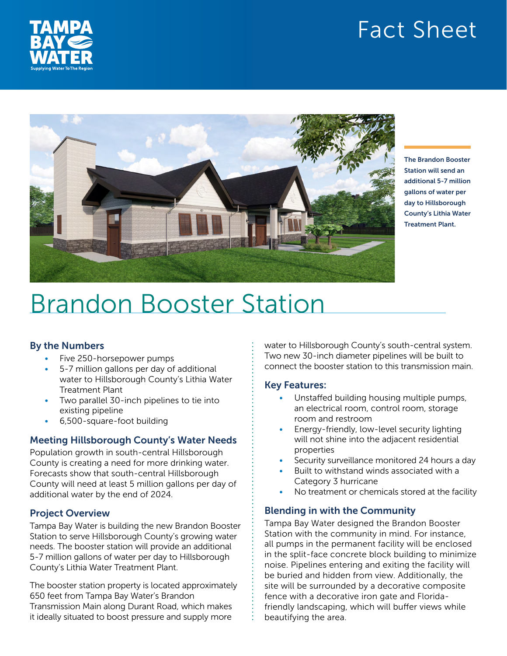# Fact Sheet





The Brandon Booster Station will send an additional 5-7 million gallons of water per day to Hillsborough County's Lithia Water Treatment Plant.

# Brandon Booster Station

# By the Numbers

- Five 250-horsepower pumps
- 5-7 million gallons per day of additional water to Hillsborough County's Lithia Water Treatment Plant
- Two parallel 30-inch pipelines to tie into existing pipeline
- 6,500-square-foot building

# Meeting Hillsborough County's Water Needs

Population growth in south-central Hillsborough County is creating a need for more drinking water. Forecasts show that south-central Hillsborough County will need at least 5 million gallons per day of additional water by the end of 2024.

# Project Overview

Tampa Bay Water is building the new Brandon Booster Station to serve Hillsborough County's growing water needs. The booster station will provide an additional 5-7 million gallons of water per day to Hillsborough County's Lithia Water Treatment Plant.

The booster station property is located approximately 650 feet from Tampa Bay Water's Brandon Transmission Main along Durant Road, which makes it ideally situated to boost pressure and supply more

water to Hillsborough County's south-central system. Two new 30-inch diameter pipelines will be built to connect the booster station to this transmission main.

# Key Features:

- Unstaffed building housing multiple pumps, an electrical room, control room, storage room and restroom
- Energy-friendly, low-level security lighting will not shine into the adjacent residential properties
- Security surveillance monitored 24 hours a day
- Built to withstand winds associated with a Category 3 hurricane
- No treatment or chemicals stored at the facility

# Blending in with the Community

Tampa Bay Water designed the Brandon Booster Station with the community in mind. For instance, all pumps in the permanent facility will be enclosed in the split-face concrete block building to minimize noise. Pipelines entering and exiting the facility will be buried and hidden from view. Additionally, the site will be surrounded by a decorative composite fence with a decorative iron gate and Floridafriendly landscaping, which will buffer views while beautifying the area.